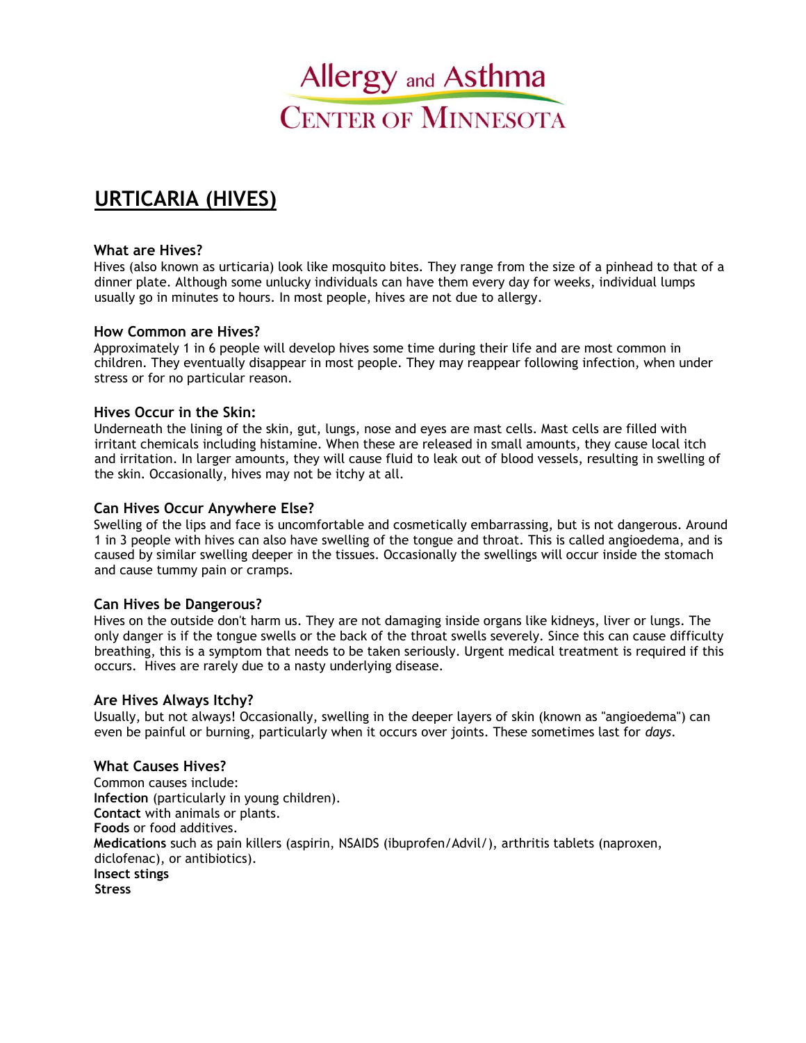

# **URTICARIA (HIVES)**

#### **What are Hives?**

Hives (also known as urticaria) look like mosquito bites. They range from the size of a pinhead to that of a dinner plate. Although some unlucky individuals can have them every day for weeks, individual lumps usually go in minutes to hours. In most people, hives are not due to allergy.

### **How Common are Hives?**

Approximately 1 in 6 people will develop hives some time during their life and are most common in children. They eventually disappear in most people. They may reappear following infection, when under stress or for no particular reason.

## **Hives Occur in the Skin:**

Underneath the lining of the skin, gut, lungs, nose and eyes are mast cells. Mast cells are filled with irritant chemicals including histamine. When these are released in small amounts, they cause local itch and irritation. In larger amounts, they will cause fluid to leak out of blood vessels, resulting in swelling of the skin. Occasionally, hives may not be itchy at all.

### **Can Hives Occur Anywhere Else?**

Swelling of the lips and face is uncomfortable and cosmetically embarrassing, but is not dangerous. Around 1 in 3 people with hives can also have swelling of the tongue and throat. This is called angioedema, and is caused by similar swelling deeper in the tissues. Occasionally the swellings will occur inside the stomach and cause tummy pain or cramps.

#### **Can Hives be Dangerous?**

Hives on the outside don't harm us. They are not damaging inside organs like kidneys, liver or lungs. The only danger is if the tongue swells or the back of the throat swells severely. Since this can cause difficulty breathing, this is a symptom that needs to be taken seriously. Urgent medical treatment is required if this occurs. Hives are rarely due to a nasty underlying disease.

#### **Are Hives Always Itchy?**

Usually, but not always! Occasionally, swelling in the deeper layers of skin (known as "angioedema") can even be painful or burning, particularly when it occurs over joints. These sometimes last for *days*.

#### **What Causes Hives?**

Common causes include: **Infection** (particularly in young children). **Contact** with animals or plants. **Foods** or food additives. **Medications** such as pain killers (aspirin, NSAIDS (ibuprofen/Advil/), arthritis tablets (naproxen, diclofenac), or antibiotics). **Insect stings Stress**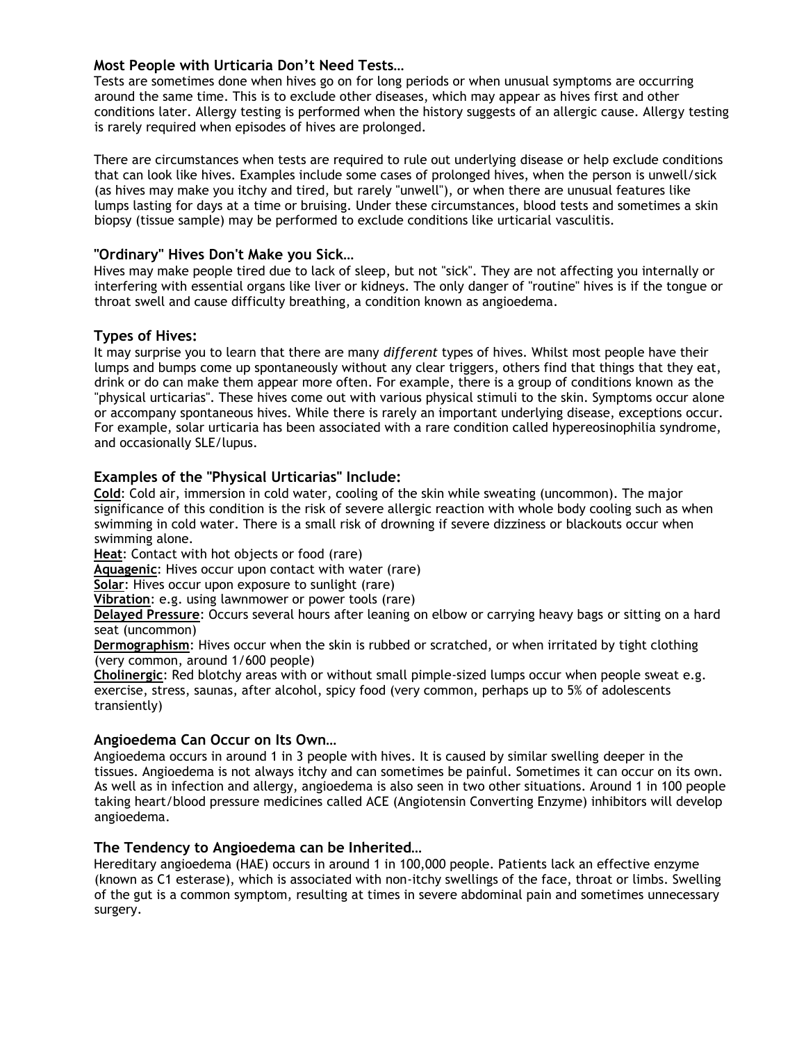# **Most People with Urticaria Don't Need Tests…**

Tests are sometimes done when hives go on for long periods or when unusual symptoms are occurring around the same time. This is to exclude other diseases, which may appear as hives first and other conditions later. Allergy testing is performed when the history suggests of an allergic cause. Allergy testing is rarely required when episodes of hives are prolonged.

There are circumstances when tests are required to rule out underlying disease or help exclude conditions that can look like hives. Examples include some cases of prolonged hives, when the person is unwell/sick (as hives may make you itchy and tired, but rarely "unwell"), or when there are unusual features like lumps lasting for days at a time or bruising. Under these circumstances, blood tests and sometimes a skin biopsy (tissue sample) may be performed to exclude conditions like urticarial vasculitis.

# **"Ordinary" Hives Don't Make you Sick…**

Hives may make people tired due to lack of sleep, but not "sick". They are not affecting you internally or interfering with essential organs like liver or kidneys. The only danger of "routine" hives is if the tongue or throat swell and cause difficulty breathing, a condition known as angioedema.

# **Types of Hives:**

It may surprise you to learn that there are many *different* types of hives. Whilst most people have their lumps and bumps come up spontaneously without any clear triggers, others find that things that they eat, drink or do can make them appear more often. For example, there is a group of conditions known as the "physical urticarias". These hives come out with various physical stimuli to the skin. Symptoms occur alone or accompany spontaneous hives. While there is rarely an important underlying disease, exceptions occur. For example, solar urticaria has been associated with a rare condition called hypereosinophilia syndrome, and occasionally SLE/lupus.

# **Examples of the "Physical Urticarias" Include:**

**Cold**: Cold air, immersion in cold water, cooling of the skin while sweating (uncommon). The major significance of this condition is the risk of severe allergic reaction with whole body cooling such as when swimming in cold water. There is a small risk of drowning if severe dizziness or blackouts occur when swimming alone.

**Heat**: Contact with hot objects or food (rare)

**Aquagenic**: Hives occur upon contact with water (rare)

**Solar**: Hives occur upon exposure to sunlight (rare)

**Vibration**: e.g. using lawnmower or power tools (rare)

**Delayed Pressure**: Occurs several hours after leaning on elbow or carrying heavy bags or sitting on a hard seat (uncommon)

**Dermographism**: Hives occur when the skin is rubbed or scratched, or when irritated by tight clothing (very common, around 1/600 people)

**Cholinergic**: Red blotchy areas with or without small pimple-sized lumps occur when people sweat e.g. exercise, stress, saunas, after alcohol, spicy food (very common, perhaps up to 5% of adolescents transiently)

## **Angioedema Can Occur on Its Own…**

Angioedema occurs in around 1 in 3 people with hives. It is caused by similar swelling deeper in the tissues. Angioedema is not always itchy and can sometimes be painful. Sometimes it can occur on its own. As well as in infection and allergy, angioedema is also seen in two other situations. Around 1 in 100 people taking heart/blood pressure medicines called ACE (Angiotensin Converting Enzyme) inhibitors will develop angioedema.

## **The Tendency to Angioedema can be Inherited…**

Hereditary angioedema (HAE) occurs in around 1 in 100,000 people. Patients lack an effective enzyme (known as C1 esterase), which is associated with non-itchy swellings of the face, throat or limbs. Swelling of the gut is a common symptom, resulting at times in severe abdominal pain and sometimes unnecessary surgery.